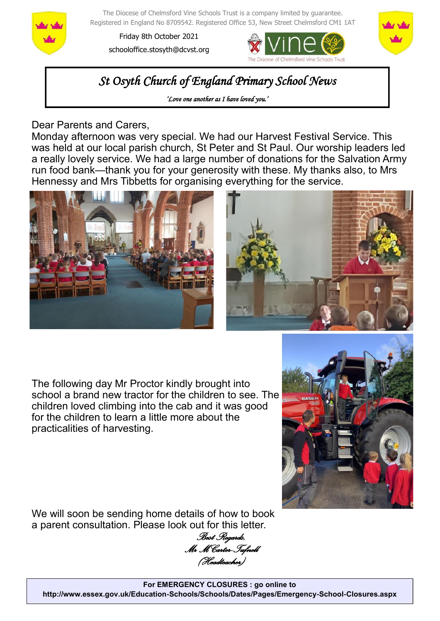

The Diocese of Chelmsford Vine Schools Trust is a company limited by guarantee. Registered in England No 8709542. Registered Office 53, New Street Chelmsford CM1 1AT

Friday 8th October 2021 schooloffice.stosyth@dcvst.org





*St Osyth Church of England Primary School News* 

*'Love one another as I have loved you.'* 

Dear Parents and Carers,

Monday afternoon was very special. We had our Harvest Festival Service. This was held at our local parish church, St Peter and St Paul. Our worship leaders led a really lovely service. We had a large number of donations for the Salvation Army run food bank—thank you for your generosity with these. My thanks also, to Mrs Hennessy and Mrs Tibbetts for organising everything for the service.





The following day Mr Proctor kindly brought into school a brand new tractor for the children to see. The children loved climbing into the cab and it was good for the children to learn a little more about the practicalities of harvesting.



We will soon be sending home details of how to book a parent consultation. Please look out for this letter.

*Best Regards, Mr M Carter-Tufnell (Headteacher)*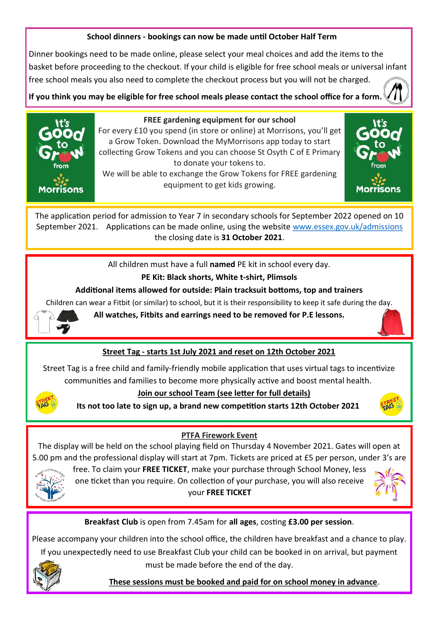### **School dinners - bookings can now be made until October Half Term**

Dinner bookings need to be made online, please select your meal choices and add the items to the basket before proceeding to the checkout. If your child is eligible for free school meals or universal infant free school meals you also need to complete the checkout process but you will not be charged.

**If you think you may be eligible for free school meals please contact the school office for a form.** 



#### **FREE gardening equipment for our school**

For every £10 you spend (in store or online) at Morrisons, you'll get a Grow Token. Download the MyMorrisons app today to start collecting Grow Tokens and you can choose St Osyth C of E Primary to donate your tokens to. We will be able to exchange the Grow Tokens for FREE gardening

equipment to get kids growing.



The application period for admission to Year 7 in secondary schools for September 2022 opened on 10 September 2021. Applications can be made online, using the website [www.essex.gov.uk/admissions](https://gbr01.safelinks.protection.outlook.com/?url=http%3A%2F%2Fwww.essex.gov.uk%2Fadmissions&data=04%7C01%7Cschooloffice.stosyth%40dcvst.org%7C2ef6e01cd56c4e7563a108d9743e1791%7C282c78034b8f4fbda3841682df47e3ad%7C1%7C0%7C637668632287896541%7CUnknown%7CTWFpb) the closing date is **31 October 2021**.

All children must have a full **named** PE kit in school every day.

# **PE Kit: Black shorts, White t-shirt, Plimsols**

## **Additional items allowed for outside: Plain tracksuit bottoms, top and trainers**

Children can wear a Fitbit (or similar) to school, but it is their responsibility to keep it safe during the day.



**All watches, Fitbits and earrings need to be removed for P.E lessons.**



Street Tag is a free child and family-friendly mobile application that uses virtual tags to incentivize communities and families to become more physically active and boost mental health.



 **Join our school Team (see letter for full details)**

**Its not too late to sign up, a brand new competition starts 12th October 2021**



# **PTFA Firework Event**

The display will be held on the school playing field on Thursday 4 November 2021. Gates will open at 5.00 pm and the professional display will start at 7pm. Tickets are priced at £5 per person, under 3's are



free. To claim your **FREE TICKET**, make your purchase through School Money, less one ticket than you require. On collection of your purchase, you will also receive your **FREE TICKET** 



**Breakfast Club** is open from 7.45am for **all ages**, costing **£3.00 per session**.

Please accompany your children into the school office, the children have breakfast and a chance to play. If you unexpectedly need to use Breakfast Club your child can be booked in on arrival, but payment must be made before the end of the day.



 **These sessions must be booked and paid for on school money in advance**.